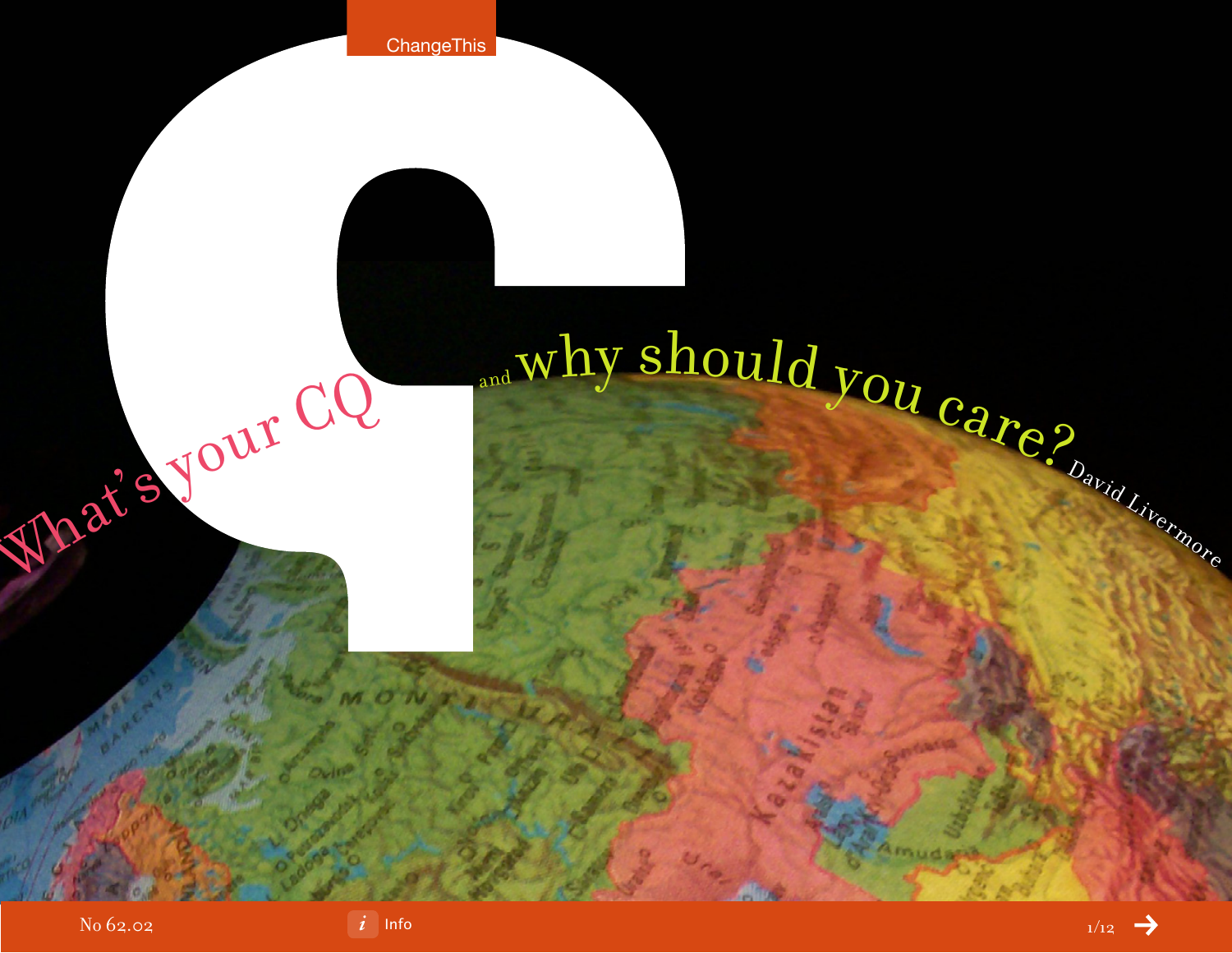

# What's your CQ and why should you care?

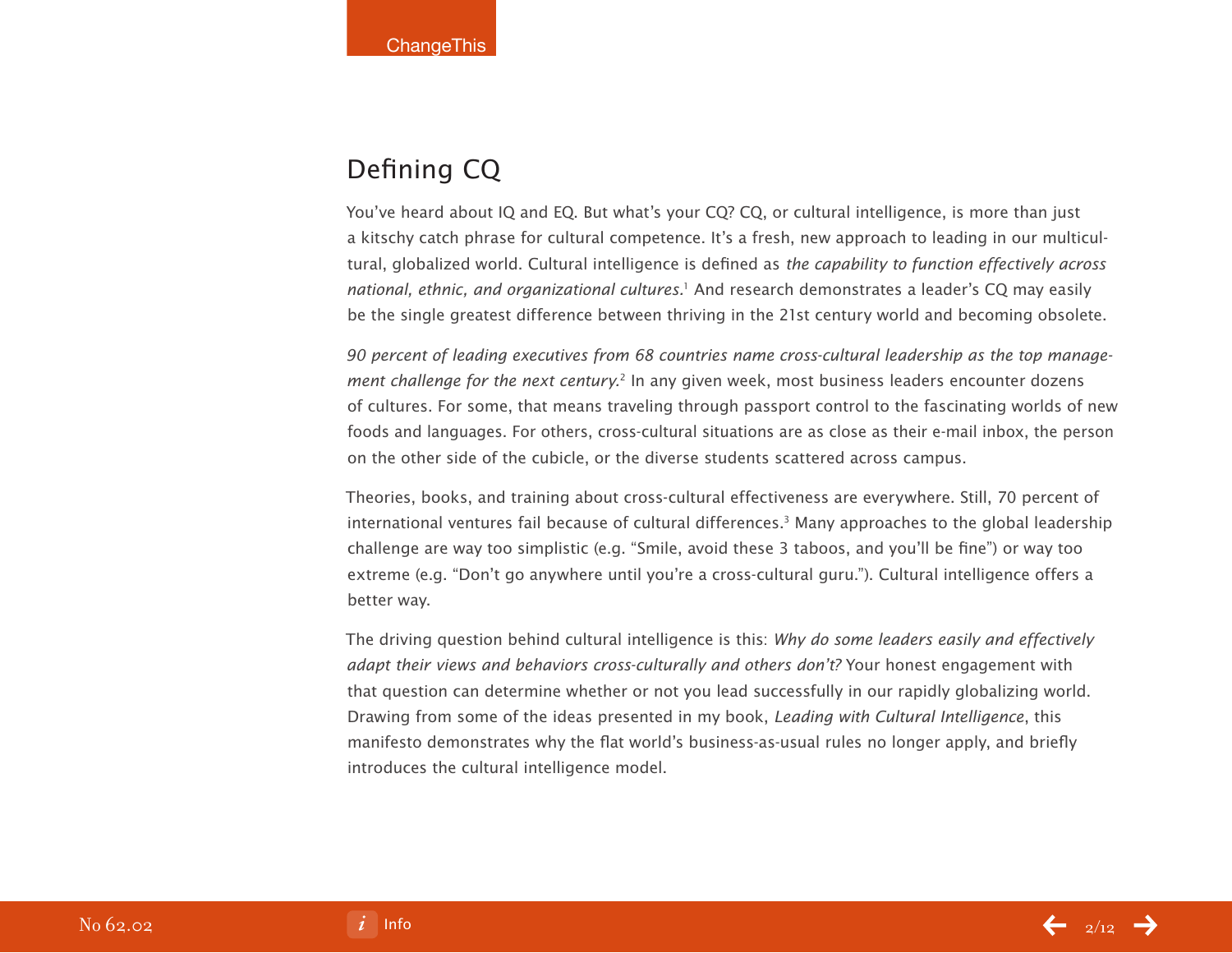# Defining CQ

You've heard about IQ and EQ. But what's your CQ? CQ, or cultural intelligence, is more than just a kitschy catch phrase for cultural competence. It's a fresh, new approach to leading in our multicultural, globalized world. Cultural intelligence is defined as the capability to function effectively across national, ethnic, and organizational cultures.<sup>1</sup> And research demonstrates a leader's CQ may easily be the single greatest difference between thriving in the 21st century world and becoming obsolete.

90 percent of leading executives from 68 countries name cross-cultural leadership as the top management challenge for the next century.<sup>2</sup> In any given week, most business leaders encounter dozens of cultures. For some, that means traveling through passport control to the fascinating worlds of new foods and languages. For others, cross-cultural situations are as close as their e-mail inbox, the person on the other side of the cubicle, or the diverse students scattered across campus.

Theories, books, and training about cross-cultural effectiveness are everywhere. Still, 70 percent of international ventures fail because of cultural differences.<sup>3</sup> Many approaches to the global leadership challenge are way too simplistic (e.g. "Smile, avoid these 3 taboos, and you'll be fine") or way too extreme (e.g. "Don't go anywhere until you're a cross-cultural guru."). Cultural intelligence offers a better way.

The driving question behind cultural intelligence is this: Why do some leaders easily and effectively adapt their views and behaviors cross-culturally and others don't? Your honest engagement with that question can determine whether or not you lead successfully in our rapidly globalizing world. Drawing from some of the ideas presented in my book, Leading with Cultural Intelligence, this manifesto demonstrates why the flat world's business-as-usual rules no longer apply, and briefly introduces the cultural intelligence model.

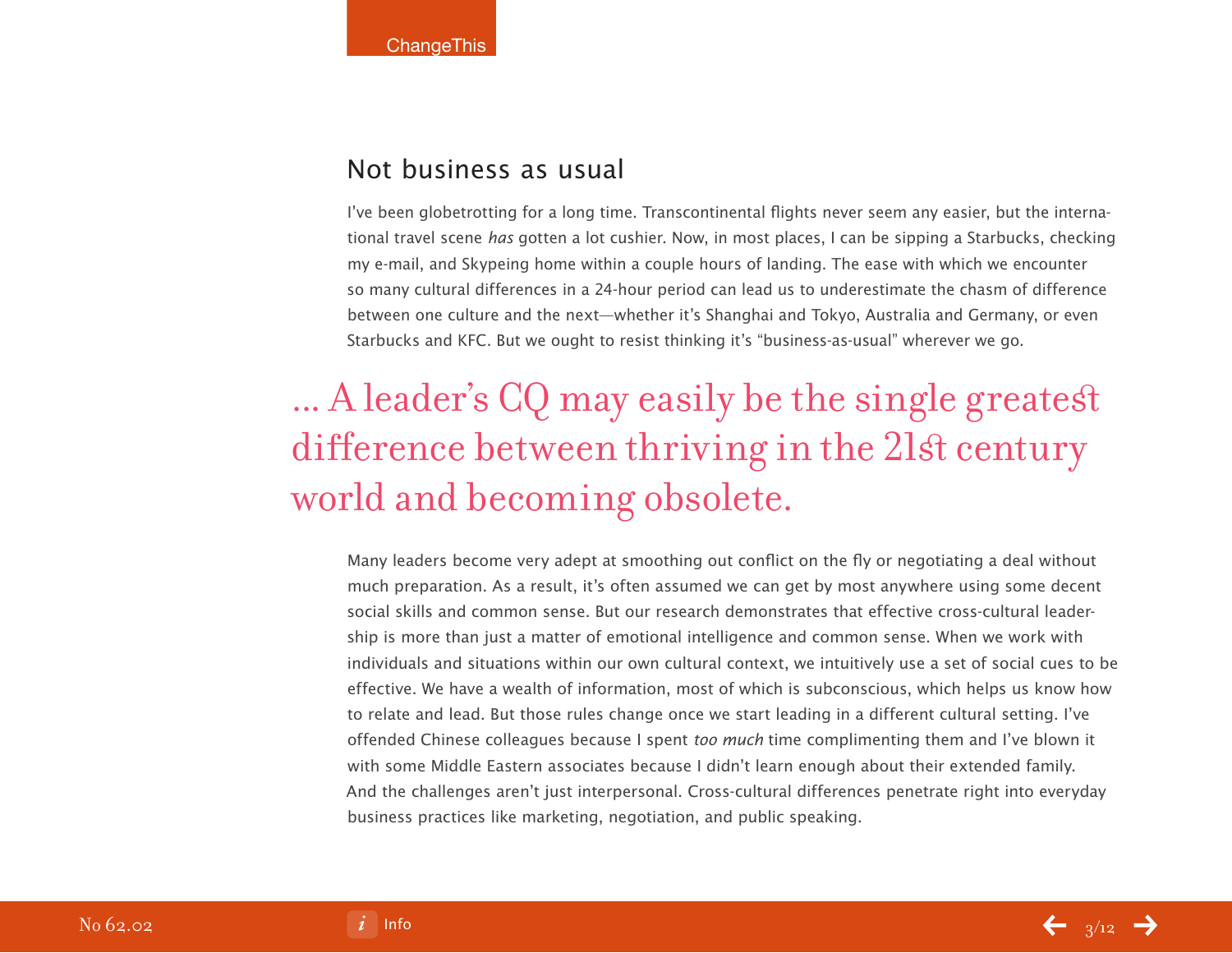# Not business as usual

I've been globetrotting for a long time. Transcontinental flights never seem any easier, but the international travel scene has gotten a lot cushier. Now, in most places, I can be sipping a Starbucks, checking my e-mail, and Skypeing home within a couple hours of landing. The ease with which we encounter so many cultural differences in a 24-hour period can lead us to underestimate the chasm of difference between one culture and the next—whether it's Shanghai and Tokyo, Australia and Germany, or even Starbucks and KFC. But we ought to resist thinking it's "business-as-usual" wherever we go.

# ... A leader's CQ may easily be the single greatest difference between thriving in the 21st century world and becoming obsolete.

Many leaders become very adept at smoothing out conflict on the fly or negotiating a deal without much preparation. As a result, it's often assumed we can get by most anywhere using some decent social skills and common sense. But our research demonstrates that effective cross-cultural leadership is more than just a matter of emotional intelligence and common sense. When we work with individuals and situations within our own cultural context, we intuitively use a set of social cues to be effective. We have a wealth of information, most of which is subconscious, which helps us know how to relate and lead. But those rules change once we start leading in a different cultural setting. I've offended Chinese colleagues because I spent too much time complimenting them and I've blown it with some Middle Eastern associates because I didn't learn enough about their extended family. And the challenges aren't just interpersonal. Cross-cultural differences penetrate right into everyday business practices like marketing, negotiation, and public speaking.

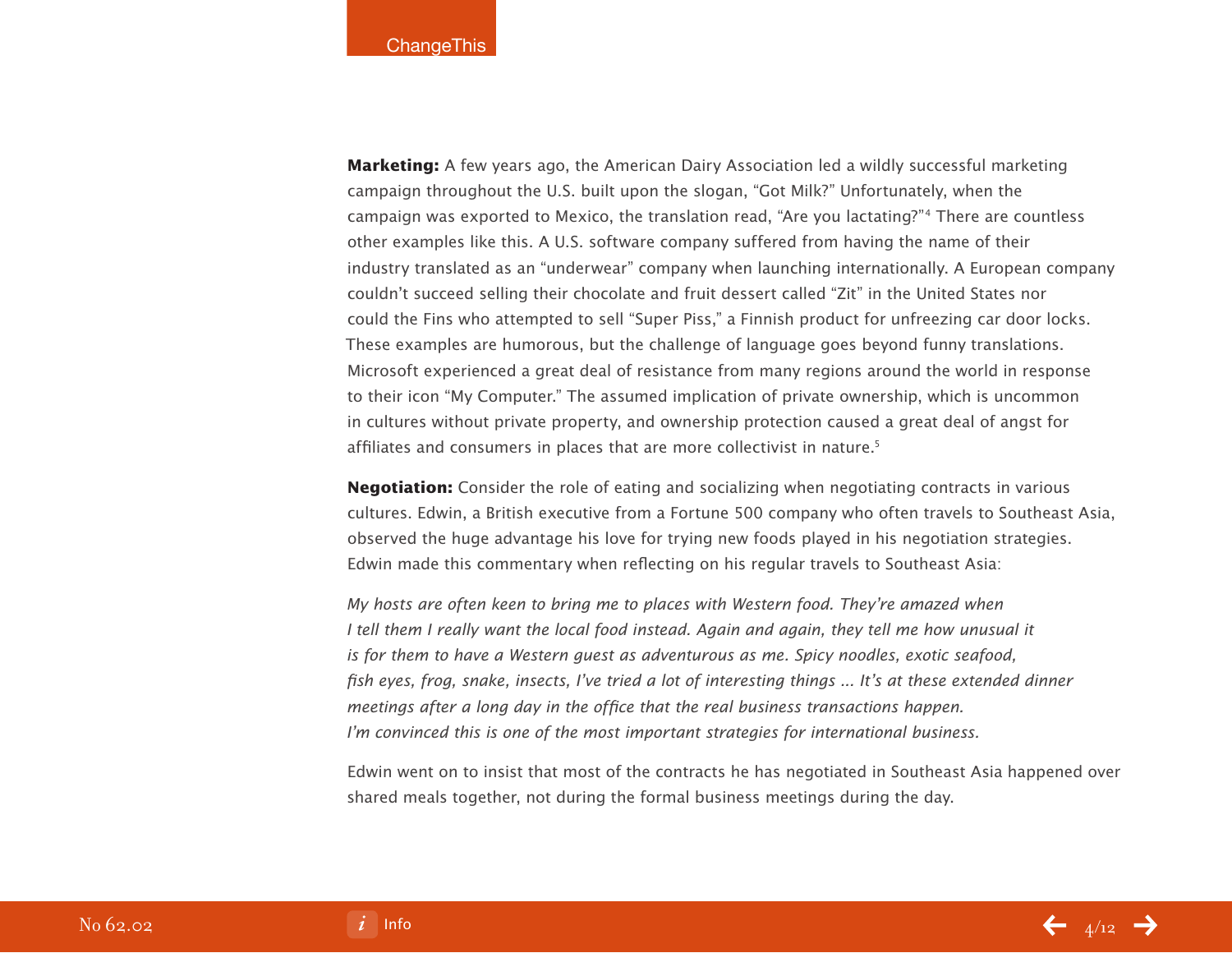**Marketing:** A few years ago, the American Dairy Association led a wildly successful marketing campaign throughout the U.S. built upon the slogan, "Got Milk?" Unfortunately, when the campaign was exported to Mexico, the translation read, "Are you lactating?"4 There are countless other examples like this. A U.S. software company suffered from having the name of their industry translated as an "underwear" company when launching internationally. A European company couldn't succeed selling their chocolate and fruit dessert called "Zit" in the United States nor could the Fins who attempted to sell "Super Piss," a Finnish product for unfreezing car door locks. These examples are humorous, but the challenge of language goes beyond funny translations. Microsoft experienced a great deal of resistance from many regions around the world in response to their icon "My Computer." The assumed implication of private ownership, which is uncommon in cultures without private property, and ownership protection caused a great deal of angst for affiliates and consumers in places that are more collectivist in nature.<sup>5</sup>

**Negotiation:** Consider the role of eating and socializing when negotiating contracts in various cultures. Edwin, a British executive from a Fortune 500 company who often travels to Southeast Asia, observed the huge advantage his love for trying new foods played in his negotiation strategies. Edwin made this commentary when reflecting on his regular travels to Southeast Asia:

My hosts are often keen to bring me to places with Western food. They're amazed when I tell them I really want the local food instead. Again and again, they tell me how unusual it is for them to have a Western guest as adventurous as me. Spicy noodles, exotic seafood, fish eyes, frog, snake, insects, I've tried a lot of interesting things ... It's at these extended dinner meetings after a long day in the office that the real business transactions happen. I'm convinced this is one of the most important strategies for international business.

Edwin went on to insist that most of the contracts he has negotiated in Southeast Asia happened over shared meals together, not during the formal business meetings during the day.

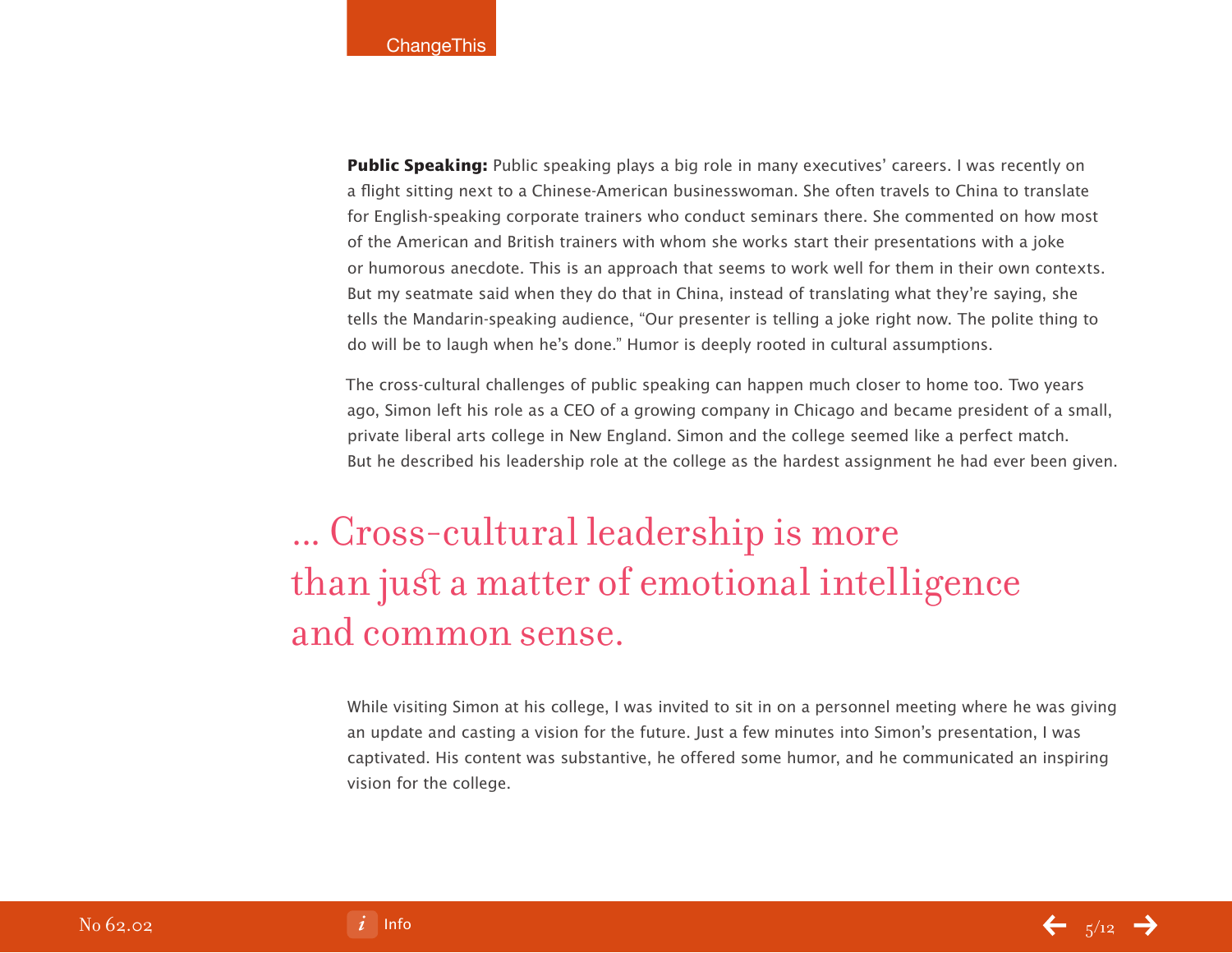**Public Speaking:** Public speaking plays a big role in many executives' careers. I was recently on a flight sitting next to a Chinese-American businesswoman. She often travels to China to translate for English-speaking corporate trainers who conduct seminars there. She commented on how most of the American and British trainers with whom she works start their presentations with a joke or humorous anecdote. This is an approach that seems to work well for them in their own contexts. But my seatmate said when they do that in China, instead of translating what they're saying, she tells the Mandarin-speaking audience, "Our presenter is telling a joke right now. The polite thing to do will be to laugh when he's done." Humor is deeply rooted in cultural assumptions.

The cross-cultural challenges of public speaking can happen much closer to home too. Two years ago, Simon left his role as a CEO of a growing company in Chicago and became president of a small, private liberal arts college in New England. Simon and the college seemed like a perfect match. But he described his leadership role at the college as the hardest assignment he had ever been given.

... Cross-cultural leadership is more than just a matter of emotional intelligence and common sense.

While visiting Simon at his college, I was invited to sit in on a personnel meeting where he was giving an update and casting a vision for the future. Just a few minutes into Simon's presentation, I was captivated. His content was substantive, he offered some humor, and he communicated an inspiring vision for the college.

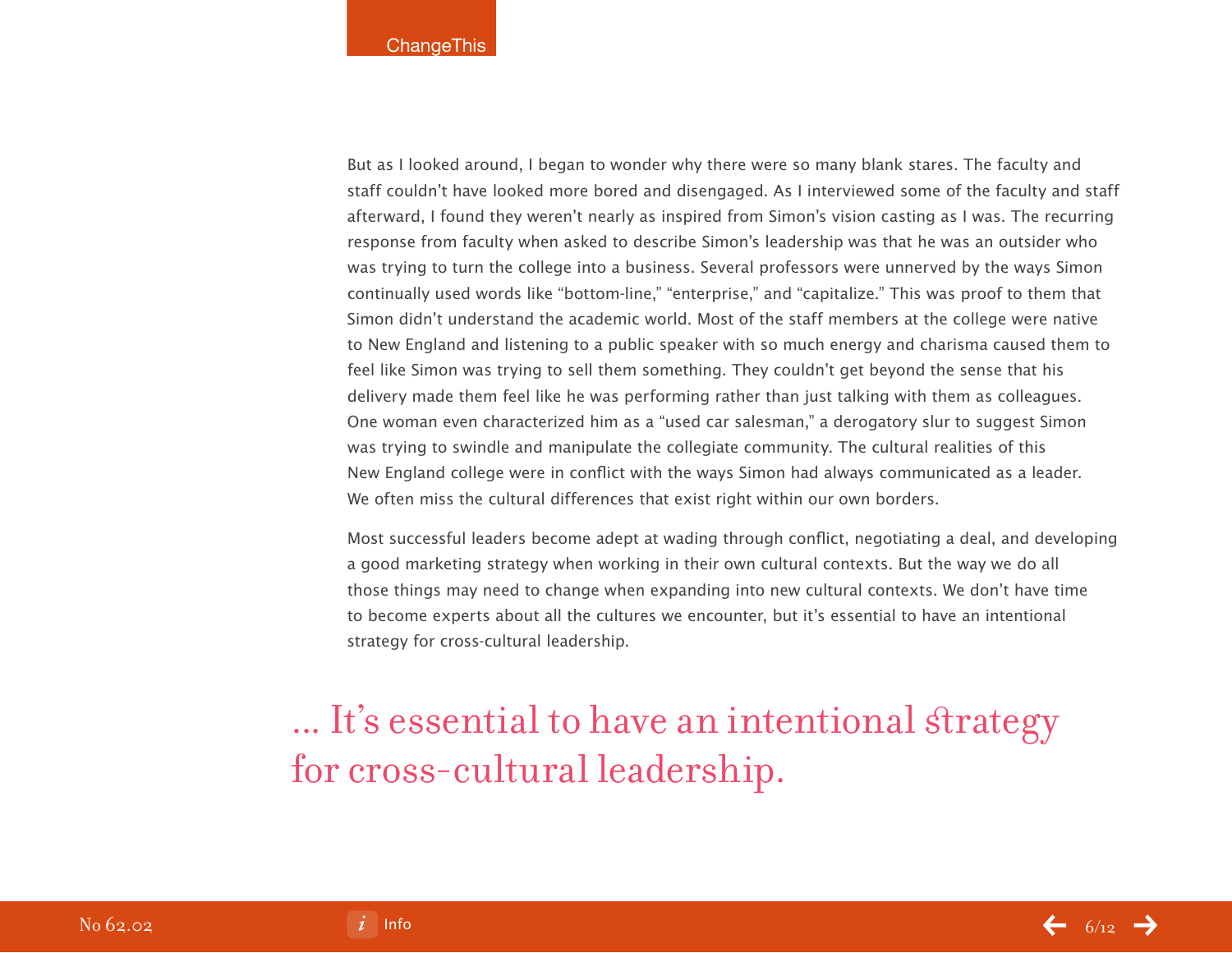But as I looked around, I began to wonder why there were so many blank stares. The faculty and staff couldn't have looked more bored and disengaged. As I interviewed some of the faculty and staff afterward, I found they weren't nearly as inspired from Simon's vision casting as I was. The recurring response from faculty when asked to describe Simon's leadership was that he was an outsider who was trying to turn the college into a business. Several professors were unnerved by the ways Simon continually used words like "bottom-line," "enterprise," and "capitalize." This was proof to them that Simon didn't understand the academic world. Most of the staff members at the college were native to New England and listening to a public speaker with so much energy and charisma caused them to feel like Simon was trying to sell them something. They couldn't get beyond the sense that his delivery made them feel like he was performing rather than just talking with them as colleagues. One woman even characterized him as a "used car salesman," a derogatory slur to suggest Simon was trying to swindle and manipulate the collegiate community. The cultural realities of this New England college were in conflict with the ways Simon had always communicated as a leader. We often miss the cultural differences that exist right within our own borders.

Most successful leaders become adept at wading through conflict, negotiating a deal, and developing a good marketing strategy when working in their own cultural contexts. But the way we do all those things may need to change when expanding into new cultural contexts. We don't have time to become experts about all the cultures we encounter, but it's essential to have an intentional strategy for cross-cultural leadership.

... It's essential to have an intentional strategy for cross-cultural leadership.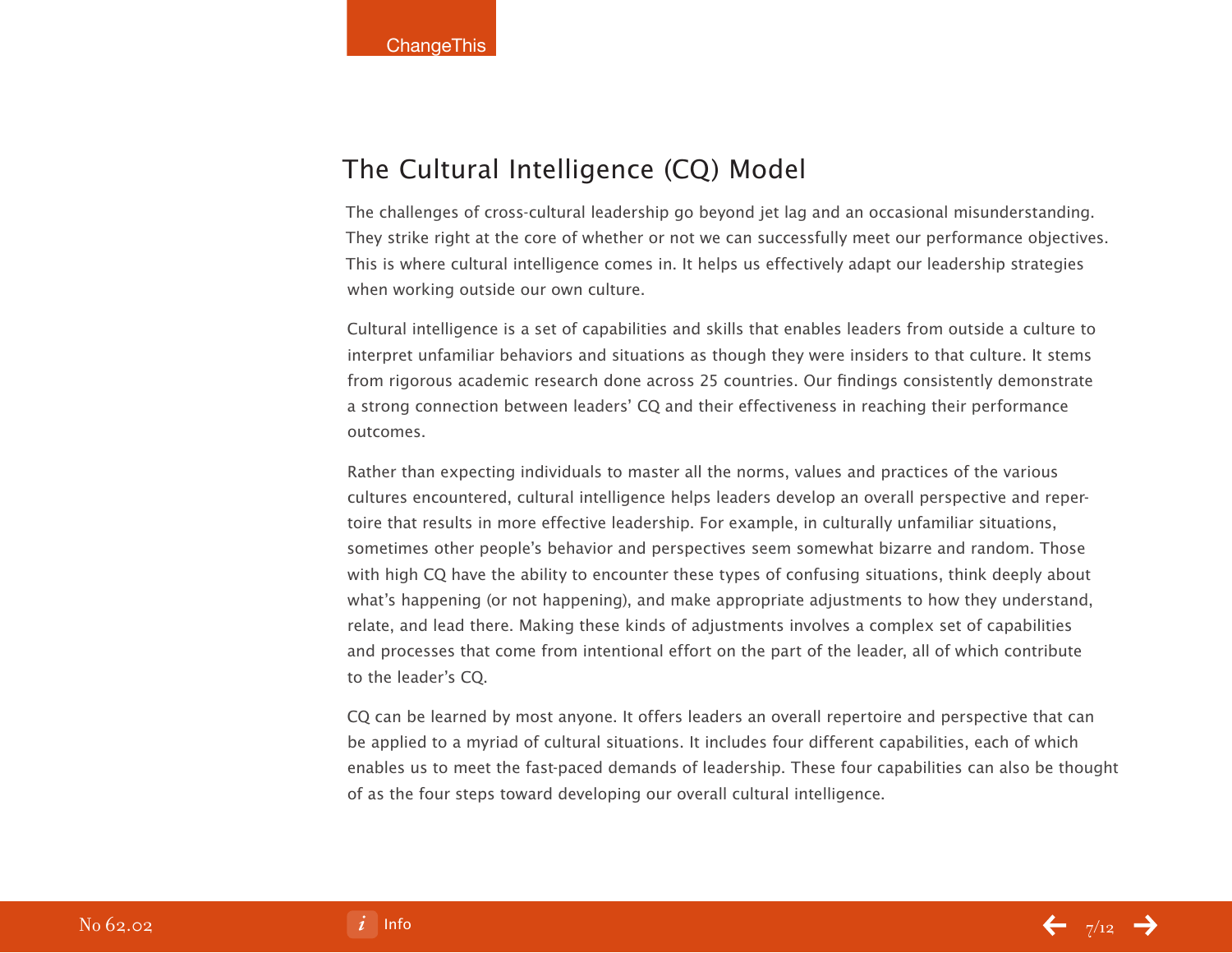# The Cultural Intelligence (CQ) Model

The challenges of cross-cultural leadership go beyond jet lag and an occasional misunderstanding. They strike right at the core of whether or not we can successfully meet our performance objectives. This is where cultural intelligence comes in. It helps us effectively adapt our leadership strategies when working outside our own culture.

Cultural intelligence is a set of capabilities and skills that enables leaders from outside a culture to interpret unfamiliar behaviors and situations as though they were insiders to that culture. It stems from rigorous academic research done across 25 countries. Our findings consistently demonstrate a strong connection between leaders' CQ and their effectiveness in reaching their performance outcomes.

Rather than expecting individuals to master all the norms, values and practices of the various cultures encountered, cultural intelligence helps leaders develop an overall perspective and repertoire that results in more effective leadership. For example, in culturally unfamiliar situations, sometimes other people's behavior and perspectives seem somewhat bizarre and random. Those with high CQ have the ability to encounter these types of confusing situations, think deeply about what's happening (or not happening), and make appropriate adjustments to how they understand, relate, and lead there. Making these kinds of adjustments involves a complex set of capabilities and processes that come from intentional effort on the part of the leader, all of which contribute to the leader's CQ.

CQ can be learned by most anyone. It offers leaders an overall repertoire and perspective that can be applied to a myriad of cultural situations. It includes four different capabilities, each of which enables us to meet the fast-paced demands of leadership. These four capabilities can also be thought of as the four steps toward developing our overall cultural intelligence.

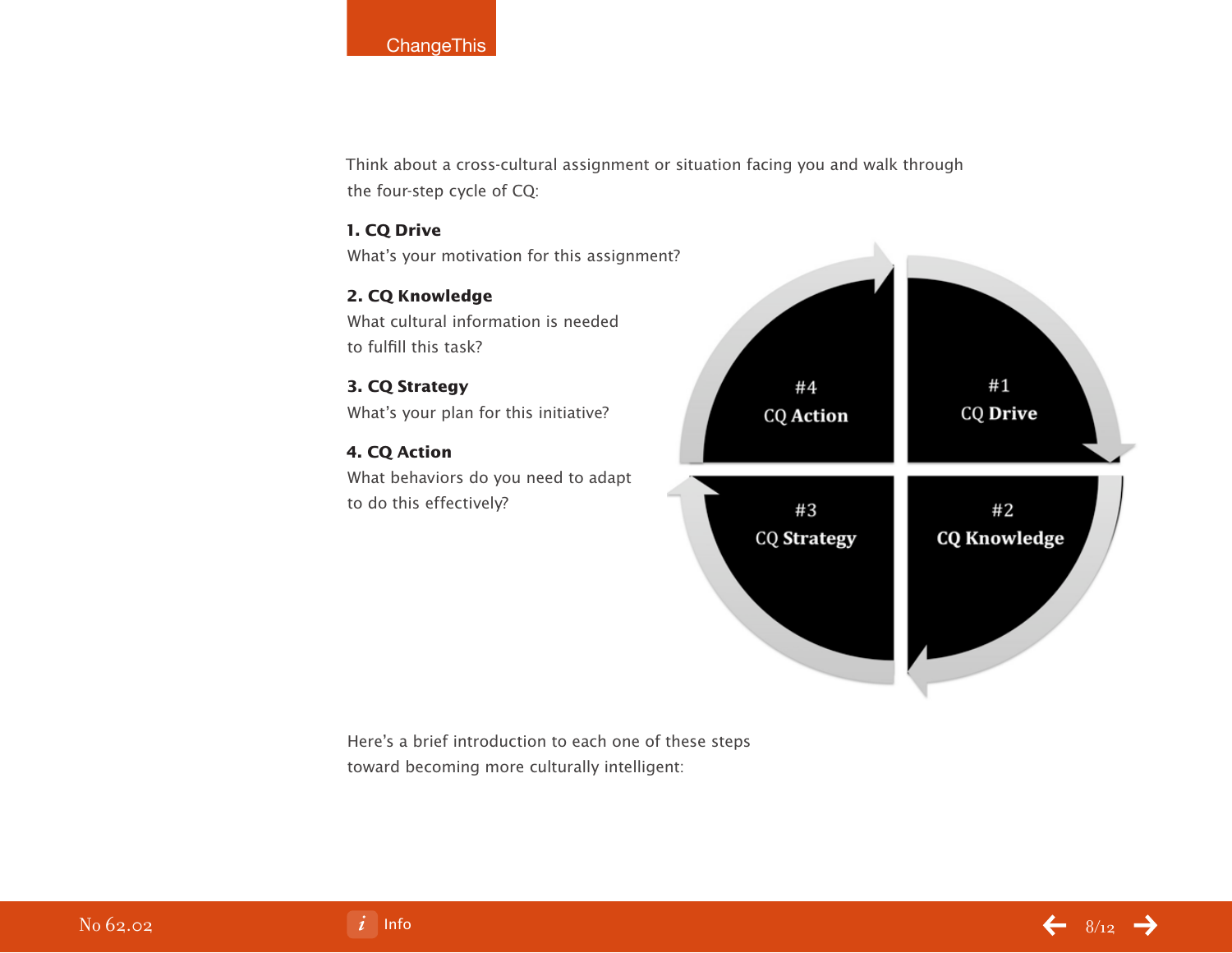# **ChangeThis**

Think about a cross-cultural assignment or situation facing you and walk through the four-step cycle of CQ:

# **1. CQ Drive**

What's your motivation for this assignment?

**2. CQ Knowledge** What cultural information is needed to fulfill this task?

# **3. CQ Strategy** What's your plan for this initiative?

# **4. CQ Action**

What behaviors do you need to adapt to do this effectively?



Here's a brief introduction to each one of these steps toward becoming more culturally intelligent:



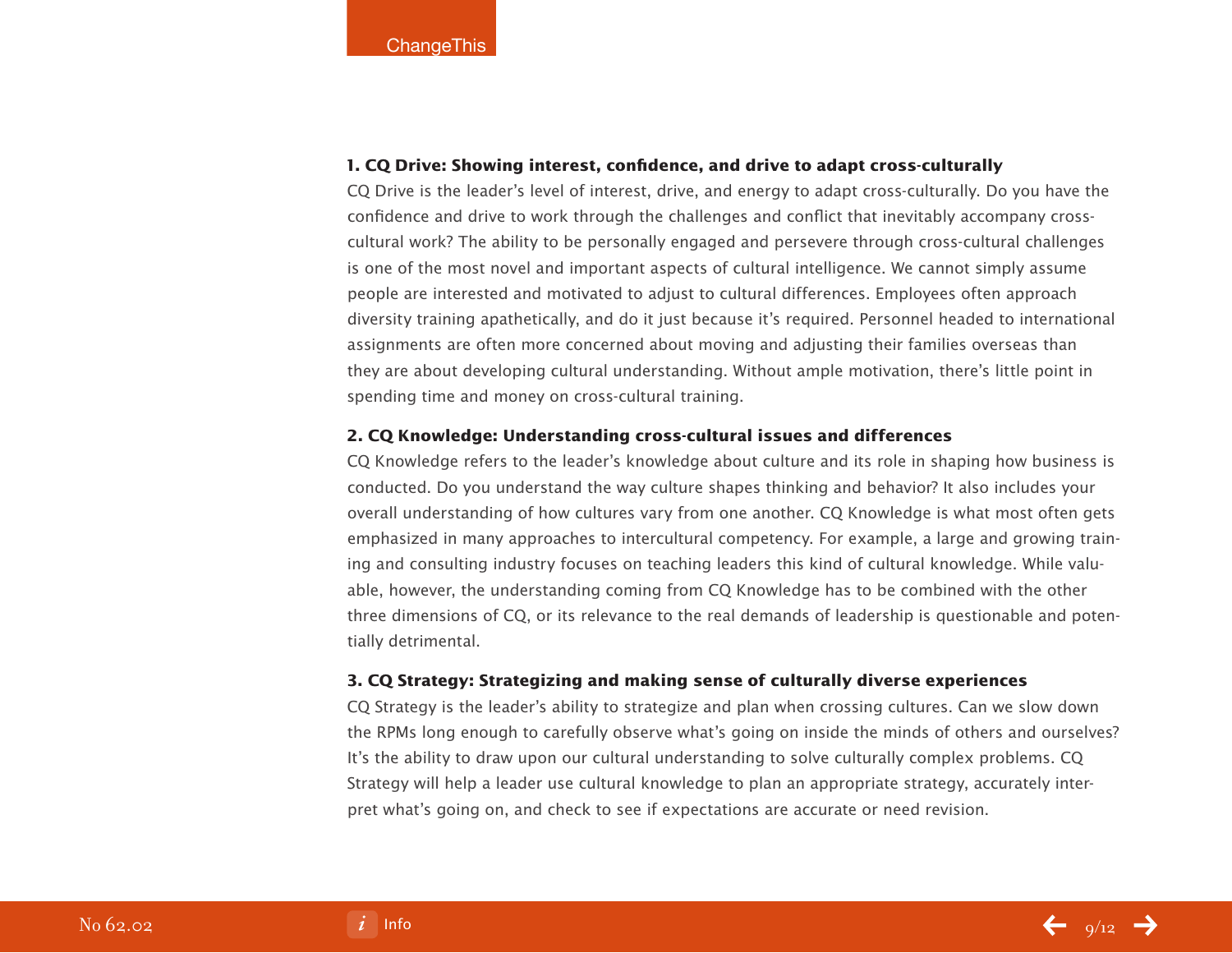# **1. CQ Drive: Showing interest, confidence, and drive to adapt cross-culturally**

CQ Drive is the leader's level of interest, drive, and energy to adapt cross-culturally. Do you have the confidence and drive to work through the challenges and conflict that inevitably accompany crosscultural work? The ability to be personally engaged and persevere through cross-cultural challenges is one of the most novel and important aspects of cultural intelligence. We cannot simply assume people are interested and motivated to adjust to cultural differences. Employees often approach diversity training apathetically, and do it just because it's required. Personnel headed to international assignments are often more concerned about moving and adjusting their families overseas than they are about developing cultural understanding. Without ample motivation, there's little point in spending time and money on cross-cultural training.

# **2. CQ Knowledge: Understanding cross-cultural issues and differences**

CQ Knowledge refers to the leader's knowledge about culture and its role in shaping how business is conducted. Do you understand the way culture shapes thinking and behavior? It also includes your overall understanding of how cultures vary from one another. CQ Knowledge is what most often gets emphasized in many approaches to intercultural competency. For example, a large and growing training and consulting industry focuses on teaching leaders this kind of cultural knowledge. While valuable, however, the understanding coming from CQ Knowledge has to be combined with the other three dimensions of CQ, or its relevance to the real demands of leadership is questionable and potentially detrimental.

# **3. CQ Strategy: Strategizing and making sense of culturally diverse experiences**

CQ Strategy is the leader's ability to strategize and plan when crossing cultures. Can we slow down the RPMs long enough to carefully observe what's going on inside the minds of others and ourselves? It's the ability to draw upon our cultural understanding to solve culturally complex problems. CQ Strategy will help a leader use cultural knowledge to plan an appropriate strategy, accurately interpret what's going on, and check to see if expectations are accurate or need revision.

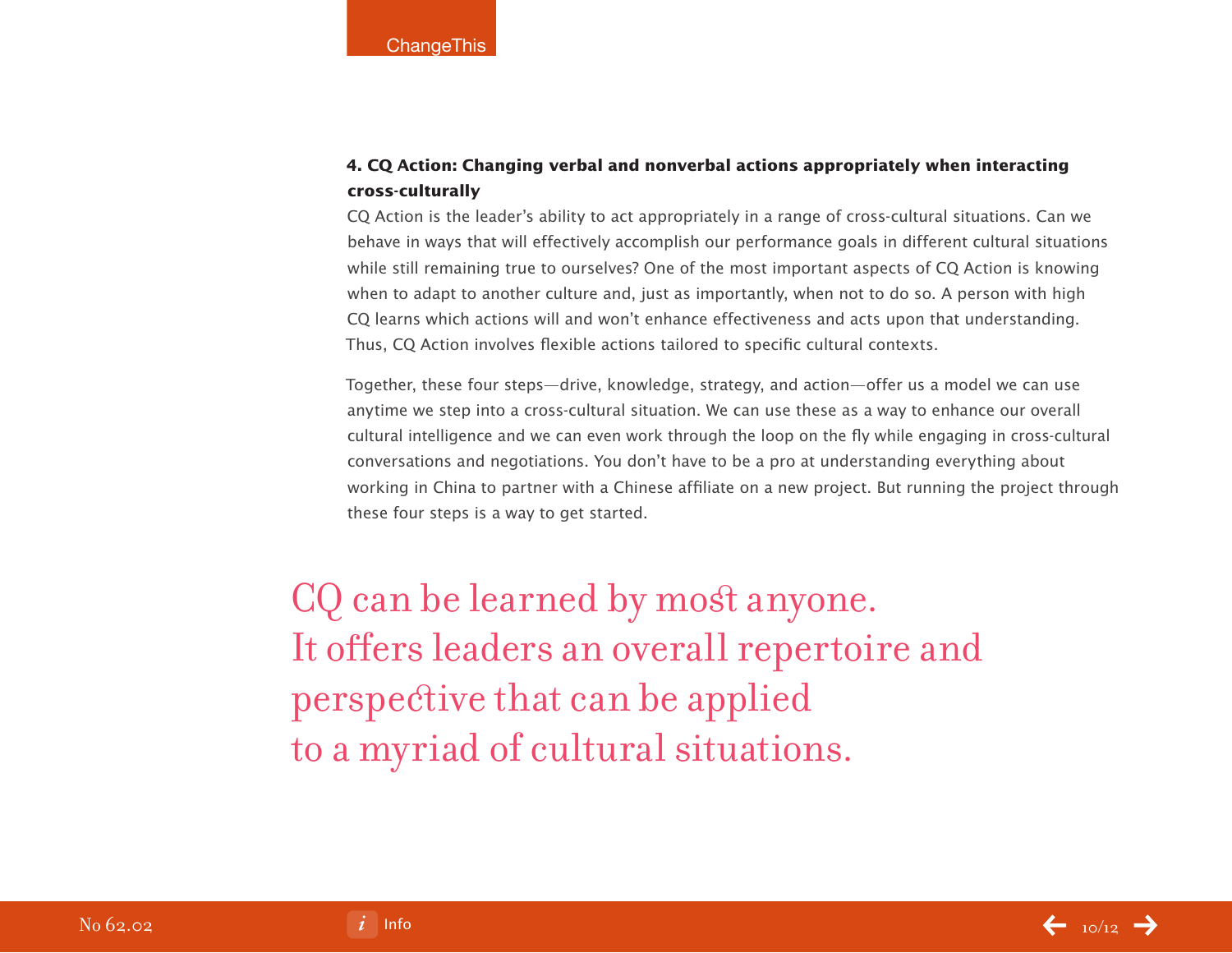# **4. CQ Action: Changing verbal and nonverbal actions appropriately when interacting cross-culturally**

CQ Action is the leader's ability to act appropriately in a range of cross-cultural situations. Can we behave in ways that will effectively accomplish our performance goals in different cultural situations while still remaining true to ourselves? One of the most important aspects of CQ Action is knowing when to adapt to another culture and, just as importantly, when not to do so. A person with high CQ learns which actions will and won't enhance effectiveness and acts upon that understanding. Thus, CQ Action involves flexible actions tailored to specific cultural contexts.

Together, these four steps—drive, knowledge, strategy, and action—offer us a model we can use anytime we step into a cross-cultural situation. We can use these as a way to enhance our overall cultural intelligence and we can even work through the loop on the fly while engaging in cross-cultural conversations and negotiations. You don't have to be a pro at understanding everything about working in China to partner with a Chinese affiliate on a new project. But running the project through these four steps is a way to get started.

CQ can be learned by most anyone. It offers leaders an overall repertoire and perspective that can be applied to a myriad of cultural situations.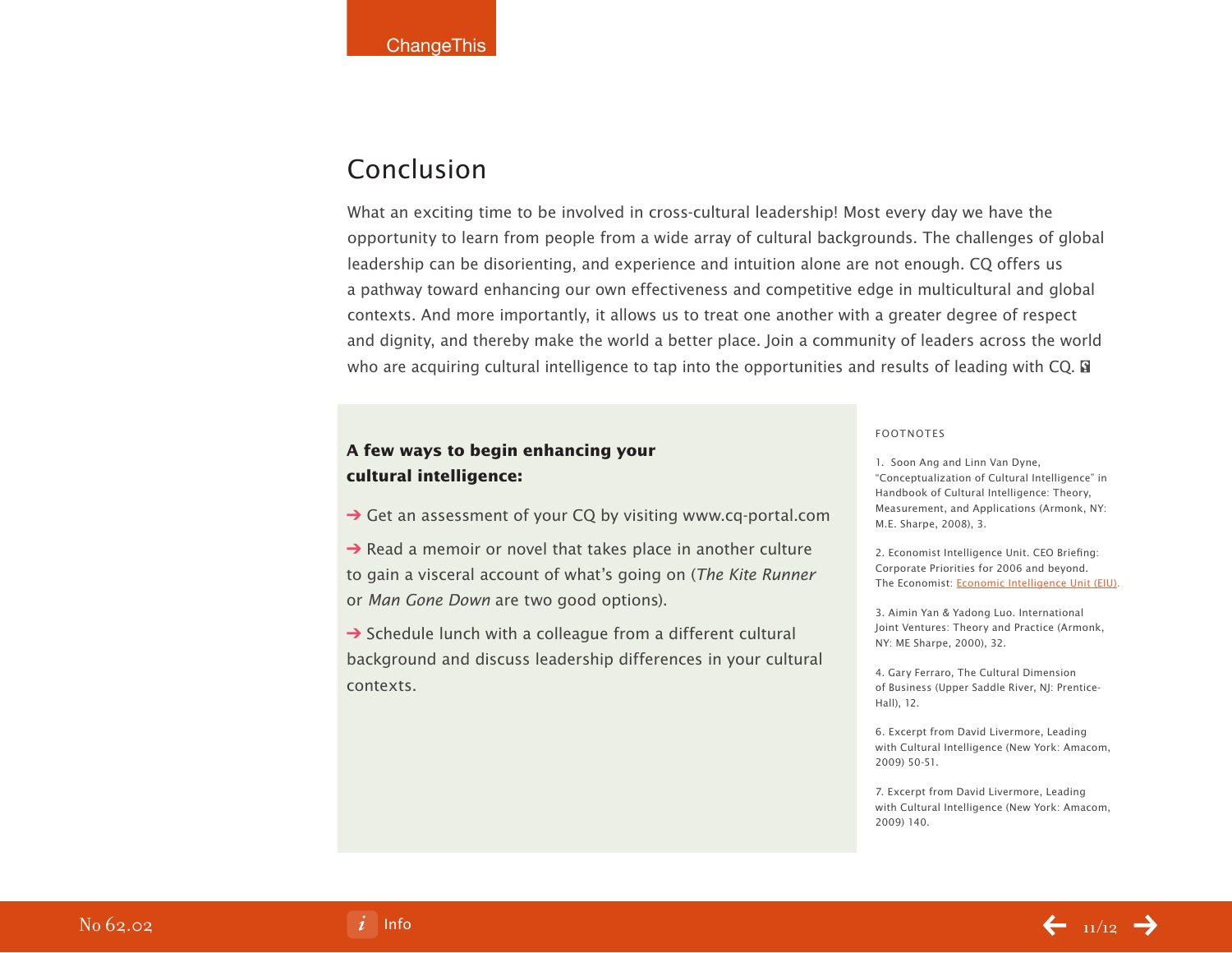# Conclusion

What an exciting time to be involved in cross-cultural leadership! Most every day we have the opportunity to learn from people from a wide array of cultural backgrounds. The challenges of global leadership can be disorienting, and experience and intuition alone are not enough. CQ offers us a pathway toward enhancing our own effectiveness and competitive edge in multicultural and global contexts. And more importantly, it allows us to treat one another with a greater degree of respect and dignity, and thereby make the world a better place. Join a community of leaders across the world who are acquiring cultural intelligence to tap into the opportunities and results of leading with CQ.  $\Box$ 

# **A few ways to begin enhancing your cultural intelligence:**

**→ Get an assessment of your CQ by visiting www.cq-portal.com** 

 $\rightarrow$  Read a memoir or novel that takes place in another culture to gain a visceral account of what's going on (The Kite Runner or Man Gone Down are two good options).

 $\rightarrow$  Schedule lunch with a colleague from a different cultural background and discuss leadership differences in your cultural contexts.

### FOOTNOTES

1. Soon Ang and Linn Van Dyne, "Conceptualization of Cultural Intelligence" in Handbook of Cultural Intelligence: Theory, Measurement, and Applications (Armonk, NY: M.E. Sharpe, 2008), 3.

2. Economist Intelligence Unit. CEO Briefing: Corporate Priorities for 2006 and beyond. The Economist: [Economic Intelligence Unit \(EIU\).](http://a330.g.akamai.net/7/330/25828/20060213195601/graphics.eiu.com/files/ad_pdfs/ceo_Briefing_UKTI_wp.pdf)

3. Aimin Yan & Yadong Luo. International Joint Ventures: Theory and Practice (Armonk, NY: ME Sharpe, 2000), 32.

4. Gary Ferraro, The Cultural Dimension of Business (Upper Saddle River, NJ: Prentice-Hall), 12.

6. Excerpt from David Livermore, Leading with Cultural Intelligence (New York: Amacom, 2009) 50-51.

7. Excerpt from David Livermore, Leading with Cultural Intelligence (New York: Amacom, 2009) 140.